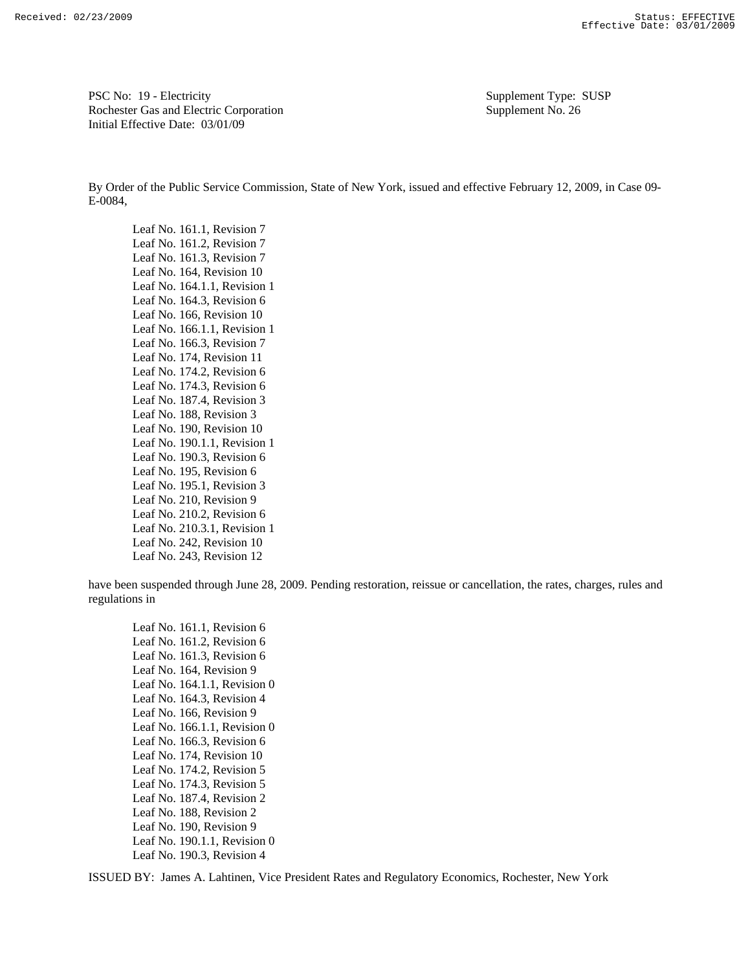PSC No: 19 - Electricity Supplement Type: SUSP Rochester Gas and Electric Corporation Supplement No. 26 Initial Effective Date: 03/01/09

By Order of the Public Service Commission, State of New York, issued and effective February 12, 2009, in Case 09- E-0084,<br>Leaf No. 161.1, Revision 7

Leaf No. 161.2, Revision 7 Leaf No. 161.3, Revision 7 Leaf No. 164, Revision 10 Leaf No. 164.1.1, Revision 1 Leaf No. 164.3, Revision 6 Leaf No. 166, Revision 10 Leaf No. 166.1.1, Revision 1 Leaf No. 166.3, Revision 7 Leaf No. 174, Revision 11 Leaf No. 174.2, Revision 6 Leaf No. 174.3, Revision 6 Leaf No. 187.4, Revision 3 Leaf No. 188, Revision 3 Leaf No. 190, Revision 10 Leaf No. 190.1.1, Revision 1 Leaf No. 190.3, Revision 6 Leaf No. 195, Revision 6 Leaf No. 195.1, Revision 3 Leaf No. 210, Revision 9 Leaf No. 210.2, Revision 6 Leaf No. 210.3.1, Revision 1 Leaf No. 242, Revision 10 Leaf No. 243, Revision 12

have been suspended through June 28, 2009. Pending restoration, reissue or cancellation, the rates, charges, rules and regulations in

Leaf No. 161.1, Revision 6 Leaf No. 161.2, Revision 6 Leaf No. 161.3, Revision 6 Leaf No. 164, Revision 9 Leaf No. 164.1.1, Revision 0 Leaf No. 164.3, Revision 4 Leaf No. 166, Revision 9 Leaf No. 166.1.1, Revision 0 Leaf No. 166.3, Revision 6 Leaf No. 174, Revision 10 Leaf No. 174.2, Revision 5 Leaf No. 174.3, Revision 5 Leaf No. 187.4, Revision 2 Leaf No. 188, Revision 2 Leaf No. 190, Revision 9 Leaf No. 190.1.1, Revision 0 Leaf No. 190.3, Revision 4

ISSUED BY: James A. Lahtinen, Vice President Rates and Regulatory Economics, Rochester, New York